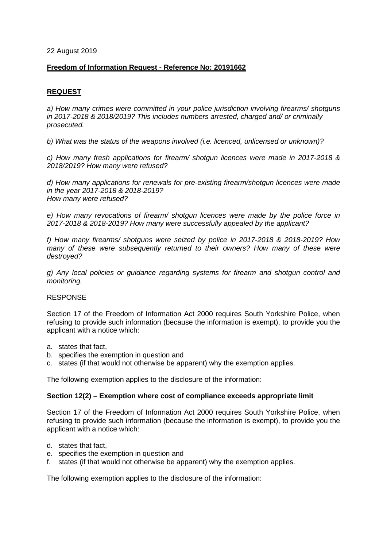22 August 2019

## **Freedom of Information Request - Reference No: 20191662**

# **REQUEST**

*a) How many crimes were committed in your police jurisdiction involving firearms/ shotguns in 2017-2018 & 2018/2019? This includes numbers arrested, charged and/ or criminally prosecuted.*

*b) What was the status of the weapons involved (i.e. licenced, unlicensed or unknown)?*

*c) How many fresh applications for firearm/ shotgun licences were made in 2017-2018 & 2018/2019? How many were refused?*

*d) How many applications for renewals for pre-existing firearm/shotgun licences were made in the year 2017-2018 & 2018-2019? How many were refused?*

*e) How many revocations of firearm/ shotgun licences were made by the police force in 2017-2018 & 2018-2019? How many were successfully appealed by the applicant?*

*f) How many firearms/ shotguns were seized by police in 2017-2018 & 2018-2019? How many of these were subsequently returned to their owners? How many of these were destroyed?*

*g) Any local policies or guidance regarding systems for firearm and shotgun control and monitoring.*

#### RESPONSE

Section 17 of the Freedom of Information Act 2000 requires South Yorkshire Police, when refusing to provide such information (because the information is exempt), to provide you the applicant with a notice which:

- a. states that fact,
- b. specifies the exemption in question and
- c. states (if that would not otherwise be apparent) why the exemption applies.

The following exemption applies to the disclosure of the information:

#### **Section 12(2) – Exemption where cost of compliance exceeds appropriate limit**

Section 17 of the Freedom of Information Act 2000 requires South Yorkshire Police, when refusing to provide such information (because the information is exempt), to provide you the applicant with a notice which:

- d. states that fact,
- e. specifies the exemption in question and
- f. states (if that would not otherwise be apparent) why the exemption applies.

The following exemption applies to the disclosure of the information: